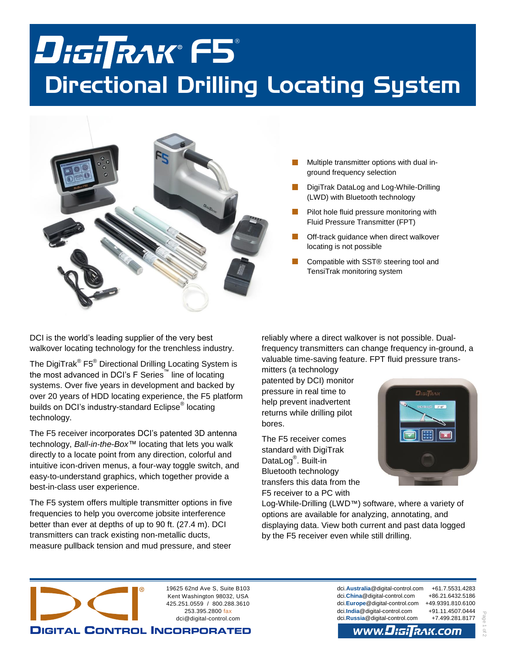# F5 Directional Drilling Locating System



- Multiple transmitter options with dual inground frequency selection
- DigiTrak DataLog and Log-While-Drilling (LWD) with Bluetooth technology
- Pilot hole fluid pressure monitoring with Fluid Pressure Transmitter (FPT)
- Off-track guidance when direct walkover locating is not possible
- Compatible with SST® steering tool and TensiTrak monitoring system

DCI is the world's leading supplier of the very best walkover locating technology for the trenchless industry.

The DigiTrak $^{\circledR}$  F5 $^{\circledR}$  Directional Drilling Locating System is the most advanced in DCI's F Series<sup>™</sup> line of locating systems. Over five years in development and backed by over 20 years of HDD locating experience, the F5 platform builds on DCI's industry-standard Eclipse® locating technology.

The F5 receiver incorporates DCI's patented 3D antenna technology, *Ball-in-the-Box*™ locating that lets you walk directly to a locate point from any direction, colorful and intuitive icon-driven menus, a four-way toggle switch, and easy-to-understand graphics, which together provide a best-in-class user experience.

The F5 system offers multiple transmitter options in five frequencies to help you overcome jobsite interference better than ever at depths of up to 90 ft. (27.4 m). DCI transmitters can track existing non-metallic ducts, measure pullback tension and mud pressure, and steer

reliably where a direct walkover is not possible. Dualfrequency transmitters can change frequency in-ground, a valuable time-saving feature. FPT fluid pressure trans-

mitters (a technology patented by DCI) monitor pressure in real time to help prevent inadvertent returns while drilling pilot bores.

The F5 receiver comes standard with DigiTrak DataLog<sup>®</sup>. Built-in Bluetooth technology transfers this data from the F5 receiver to a PC with



Log-While-Drilling (LWD™) software, where a variety of options are available for analyzing, annotating, and displaying data. View both current and past data logged by the F5 receiver even while still drilling.



dci.**Australia**[@digital-control.com](mailto:dci.Australia@digital-control.com) +61.7.5531.4283 dci.**China**[@digital-control.com](mailto:dci.China@digital-control.com) +86.21.6432.5186 dci.**Europe**[@digital-control.com](mailto:dci.Europe@digital-control.com) +49.9391.810.6100 dci.**India**[@digital-control.com](mailto:dci.India@digital-control.com) +91.11.4507.0444 dci.**Russia**[@digital-control.com](mailto:dci.Russia@digital-control.com) +7.499.281.8177

Page 1 of 2

 $\frac{1}{2}$